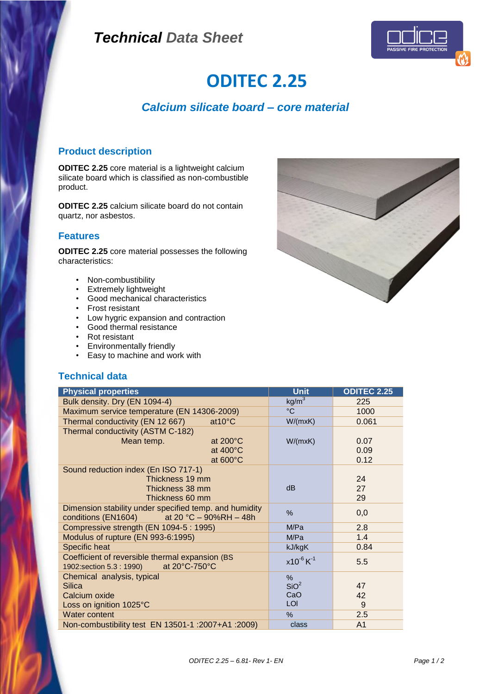# *Technical Data Sheet*



# **ODITEC 2.25**

# *Calcium silicate board – core material*

### **Product description**

**ODITEC 2.25** core material is a lightweight calcium silicate board which is classified as non-combustible product.

**ODITEC 2.25** calcium silicate board do not contain quartz, nor asbestos.

#### **Features**

**ODITEC 2.25** core material possesses the following characteristics:

- Non-combustibility
- Extremely lightweight
- Good mechanical characteristics
- Frost resistant
- Low hygric expansion and contraction
- Good thermal resistance
- Rot resistant
- Environmentally friendly<br>• Fasy to machine and wo
- Easy to machine and work with

#### **Technical data**

| <b>Physical properties</b>                             | <b>Unit</b>                | <b>ODITEC 2.25</b> |
|--------------------------------------------------------|----------------------------|--------------------|
| Bulk density. Dry (EN 1094-4)                          | kg/m <sup>3</sup>          | 225                |
| Maximum service temperature (EN 14306-2009)            | $\rm ^{\circ}C$            | 1000               |
| Thermal conductivity (EN 12 667)<br>$at10^{\circ}$ C   | W/(mxK)                    | 0.061              |
| Thermal conductivity (ASTM C-182)                      |                            |                    |
| at $200^{\circ}$ C<br>Mean temp.                       | W/(mxK)                    | 0.07               |
| at 400°C                                               |                            | 0.09               |
| at 600°C                                               |                            | 0.12               |
| Sound reduction index (En ISO 717-1)                   |                            |                    |
| Thickness 19 mm                                        |                            | 24                 |
| Thickness 38 mm                                        | dB                         | 27                 |
| Thickness 60 mm                                        |                            | 29                 |
| Dimension stability under specified temp. and humidity | %                          | 0,0                |
| conditions (EN1604)<br>at 20 °C $-$ 90%RH $-$ 48h      |                            |                    |
| Compressive strength (EN 1094-5 : 1995)                | M/Pa                       | 2.8                |
| Modulus of rupture (EN 993-6:1995)                     | M/Pa                       | 1.4                |
| <b>Specific heat</b>                                   | kJ/kgK                     | 0.84               |
| Coefficient of reversible thermal expansion (BS        | $x10^{-6}$ K <sup>-1</sup> | 5.5                |
| at 20°C-750°C<br>1902: section 5.3 : 1990)             |                            |                    |
| Chemical analysis, typical                             | %                          |                    |
| Silica                                                 | SiO <sup>2</sup>           | 47                 |
| Calcium oxide                                          | CaO                        | 42                 |
| Loss on ignition 1025°C                                | <b>LOI</b>                 | 9                  |
| Water content                                          | %                          | 2.5                |
| Non-combustibility test EN 13501-1 :2007+A1 :2009)     | class                      | A <sub>1</sub>     |